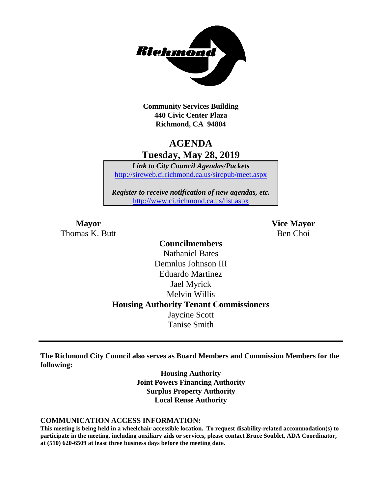

**Community Services Building 440 Civic Center Plaza Richmond, CA 94804**

## **AGENDA Tuesday, May 28, 2019**

*Link to City Council Agendas/Packets* <http://sireweb.ci.richmond.ca.us/sirepub/meet.aspx>

*Register to receive notification of new agendas, etc.* <http://www.ci.richmond.ca.us/list.aspx>

Thomas K. Butt Ben Choi

**Mayor Vice Mayor**

### **Councilmembers** Nathaniel Bates Demnlus Johnson III Eduardo Martinez Jael Myrick Melvin Willis **Housing Authority Tenant Commissioners** Jaycine Scott Tanise Smith

**The Richmond City Council also serves as Board Members and Commission Members for the following:**

> **Housing Authority Joint Powers Financing Authority Surplus Property Authority Local Reuse Authority**

#### **COMMUNICATION ACCESS INFORMATION:**

**This meeting is being held in a wheelchair accessible location. To request disability-related accommodation(s) to participate in the meeting, including auxiliary aids or services, please contact Bruce Soublet, ADA Coordinator, at (510) 620-6509 at least three business days before the meeting date.**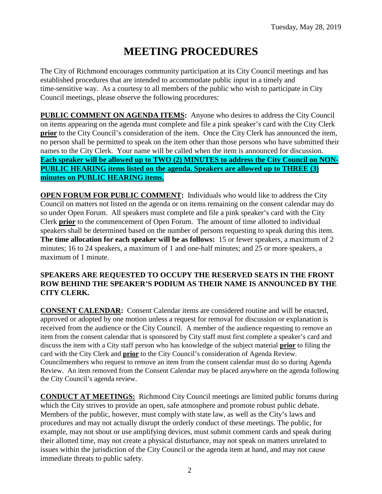# **MEETING PROCEDURES**

The City of Richmond encourages community participation at its City Council meetings and has established procedures that are intended to accommodate public input in a timely and time-sensitive way. As a courtesy to all members of the public who wish to participate in City Council meetings, please observe the following procedures:

**PUBLIC COMMENT ON AGENDA ITEMS:** Anyone who desires to address the City Council on items appearing on the agenda must complete and file a pink speaker's card with the City Clerk **prior** to the City Council's consideration of the item. Once the City Clerk has announced the item, no person shall be permitted to speak on the item other than those persons who have submitted their names to the City Clerk. Your name will be called when the item is announced for discussion. **Each speaker will be allowed up to TWO (2) MINUTES to address the City Council on NON-PUBLIC HEARING items listed on the agenda. Speakers are allowed up to THREE (3) minutes on PUBLIC HEARING items.**

**OPEN FORUM FOR PUBLIC COMMENT:** Individuals who would like to address the City Council on matters not listed on the agenda or on items remaining on the consent calendar may do so under Open Forum. All speakers must complete and file a pink speaker's card with the City Clerk **prior** to the commencement of Open Forum. The amount of time allotted to individual speakers shall be determined based on the number of persons requesting to speak during this item. **The time allocation for each speaker will be as follows:** 15 or fewer speakers, a maximum of 2 minutes; 16 to 24 speakers, a maximum of 1 and one-half minutes; and 25 or more speakers, a maximum of 1 minute.

#### **SPEAKERS ARE REQUESTED TO OCCUPY THE RESERVED SEATS IN THE FRONT ROW BEHIND THE SPEAKER'S PODIUM AS THEIR NAME IS ANNOUNCED BY THE CITY CLERK.**

**CONSENT CALENDAR:** Consent Calendar items are considered routine and will be enacted, approved or adopted by one motion unless a request for removal for discussion or explanation is received from the audience or the City Council. A member of the audience requesting to remove an item from the consent calendar that is sponsored by City staff must first complete a speaker's card and discuss the item with a City staff person who has knowledge of the subject material **prior** to filing the card with the City Clerk and **prior** to the City Council's consideration of Agenda Review. Councilmembers who request to remove an item from the consent calendar must do so during Agenda Review. An item removed from the Consent Calendar may be placed anywhere on the agenda following the City Council's agenda review.

**CONDUCT AT MEETINGS:** Richmond City Council meetings are limited public forums during which the City strives to provide an open, safe atmosphere and promote robust public debate. Members of the public, however, must comply with state law, as well as the City's laws and procedures and may not actually disrupt the orderly conduct of these meetings. The public, for example, may not shout or use amplifying devices, must submit comment cards and speak during their allotted time, may not create a physical disturbance, may not speak on matters unrelated to issues within the jurisdiction of the City Council or the agenda item at hand, and may not cause immediate threats to public safety.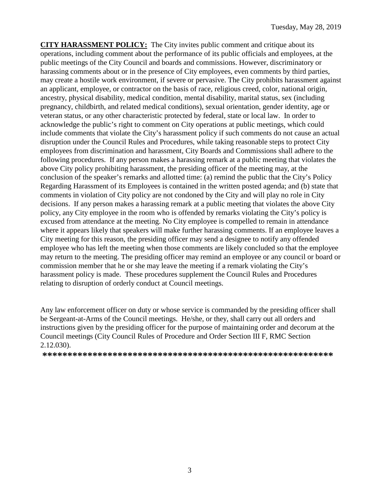**CITY HARASSMENT POLICY:** The City invites public comment and critique about its operations, including comment about the performance of its public officials and employees, at the public meetings of the City Council and boards and commissions. However, discriminatory or harassing comments about or in the presence of City employees, even comments by third parties, may create a hostile work environment, if severe or pervasive. The City prohibits harassment against an applicant, employee, or contractor on the basis of race, religious creed, color, national origin, ancestry, physical disability, medical condition, mental disability, marital status, sex (including pregnancy, childbirth, and related medical conditions), sexual orientation, gender identity, age or veteran status, or any other characteristic protected by federal, state or local law. In order to acknowledge the public's right to comment on City operations at public meetings, which could include comments that violate the City's harassment policy if such comments do not cause an actual disruption under the Council Rules and Procedures, while taking reasonable steps to protect City employees from discrimination and harassment, City Boards and Commissions shall adhere to the following procedures. If any person makes a harassing remark at a public meeting that violates the above City policy prohibiting harassment, the presiding officer of the meeting may, at the conclusion of the speaker's remarks and allotted time: (a) remind the public that the City's Policy Regarding Harassment of its Employees is contained in the written posted agenda; and (b) state that comments in violation of City policy are not condoned by the City and will play no role in City decisions. If any person makes a harassing remark at a public meeting that violates the above City policy, any City employee in the room who is offended by remarks violating the City's policy is excused from attendance at the meeting. No City employee is compelled to remain in attendance where it appears likely that speakers will make further harassing comments. If an employee leaves a City meeting for this reason, the presiding officer may send a designee to notify any offended employee who has left the meeting when those comments are likely concluded so that the employee may return to the meeting. The presiding officer may remind an employee or any council or board or commission member that he or she may leave the meeting if a remark violating the City's harassment policy is made. These procedures supplement the Council Rules and Procedures relating to disruption of orderly conduct at Council meetings.

Any law enforcement officer on duty or whose service is commanded by the presiding officer shall be Sergeant-at-Arms of the Council meetings. He/she, or they, shall carry out all orders and instructions given by the presiding officer for the purpose of maintaining order and decorum at the Council meetings (City Council Rules of Procedure and Order Section III F, RMC Section 2.12.030).

**\*\*\*\*\*\*\*\*\*\*\*\*\*\*\*\*\*\*\*\*\*\*\*\*\*\*\*\*\*\*\*\*\*\*\*\*\*\*\*\*\*\*\*\*\*\*\*\*\*\*\*\*\*\*\*\*\*\***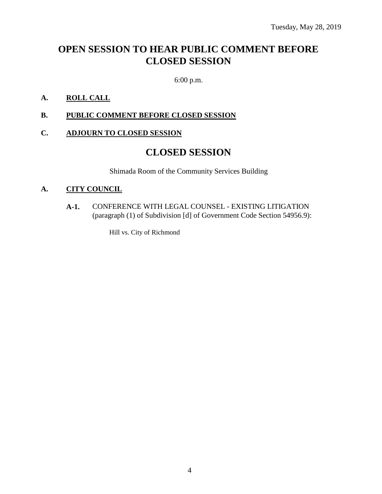# **OPEN SESSION TO HEAR PUBLIC COMMENT BEFORE CLOSED SESSION**

6:00 p.m.

#### **A. ROLL CALL**

**B. PUBLIC COMMENT BEFORE CLOSED SESSION**

#### **C. ADJOURN TO CLOSED SESSION**

### **CLOSED SESSION**

Shimada Room of the Community Services Building

#### **A. CITY COUNCIL**

**A-1.** CONFERENCE WITH LEGAL COUNSEL - EXISTING LITIGATION (paragraph (1) of Subdivision [d] of Government Code Section 54956.9):

Hill vs. City of Richmond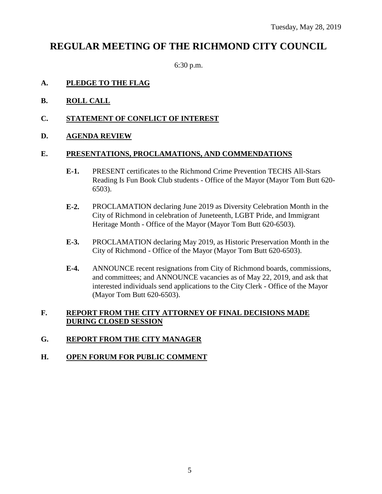# **REGULAR MEETING OF THE RICHMOND CITY COUNCIL**

6:30 p.m.

#### **A. PLEDGE TO THE FLAG**

- **B. ROLL CALL**
- **C. STATEMENT OF CONFLICT OF INTEREST**
- **D. AGENDA REVIEW**

#### **E. PRESENTATIONS, PROCLAMATIONS, AND COMMENDATIONS**

- **E-1.** PRESENT certificates to the Richmond Crime Prevention TECHS All-Stars Reading Is Fun Book Club students - Office of the Mayor (Mayor Tom Butt 620- 6503).
- **E-2.** PROCLAMATION declaring June 2019 as Diversity Celebration Month in the City of Richmond in celebration of Juneteenth, LGBT Pride, and Immigrant Heritage Month - Office of the Mayor (Mayor Tom Butt 620-6503).
- **E-3.** PROCLAMATION declaring May 2019, as Historic Preservation Month in the City of Richmond - Office of the Mayor (Mayor Tom Butt 620-6503).
- **E-4.** ANNOUNCE recent resignations from City of Richmond boards, commissions, and committees; and ANNOUNCE vacancies as of May 22, 2019, and ask that interested individuals send applications to the City Clerk - Office of the Mayor (Mayor Tom Butt 620-6503).

#### **F. REPORT FROM THE CITY ATTORNEY OF FINAL DECISIONS MADE DURING CLOSED SESSION**

#### **G. REPORT FROM THE CITY MANAGER**

#### **H. OPEN FORUM FOR PUBLIC COMMENT**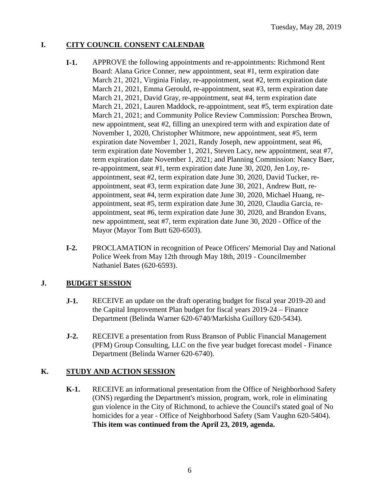#### **I. CITY COUNCIL CONSENT CALENDAR**

- **I-1.** APPROVE the following appointments and re-appointments: Richmond Rent Board: Alana Grice Conner, new appointment, seat #1, term expiration date March 21, 2021, Virginia Finlay, re-appointment, seat #2, term expiration date March 21, 2021, Emma Gerould, re-appointment, seat #3, term expiration date March 21, 2021, David Gray, re-appointment, seat #4, term expiration date March 21, 2021, Lauren Maddock, re-appointment, seat #5, term expiration date March 21, 2021; and Community Police Review Commission: Porschea Brown, new appointment, seat #2, filling an unexpired term with and expiration date of November 1, 2020, Christopher Whitmore, new appointment, seat #5, term expiration date November 1, 2021, Randy Joseph, new appointment, seat #6, term expiration date November 1, 2021, Steven Lacy, new appointment, seat #7, term expiration date November 1, 2021; and Planning Commission: Nancy Baer, re-appointment, seat #1, term expiration date June 30, 2020, Jen Loy, reappointment, seat #2, term expiration date June 30, 2020, David Tucker, reappointment, seat #3, term expiration date June 30, 2021, Andrew Butt, reappointment, seat #4, term expiration date June 30, 2020, Michael Huang, reappointment, seat #5, term expiration date June 30, 2020, Claudia Garcia, reappointment, seat #6, term expiration date June 30, 2020, and Brandon Evans, new appointment, seat #7, term expiration date June 30, 2020 - Office of the Mayor (Mayor Tom Butt 620-6503).
- **I-2.** PROCLAMATION in recognition of Peace Officers' Memorial Day and National Police Week from May 12th through May 18th, 2019 - Councilmember Nathaniel Bates (620-6593).

#### **J. BUDGET SESSION**

- **J-1.** RECEIVE an update on the draft operating budget for fiscal year 2019-20 and the Capital Improvement Plan budget for fiscal years 2019-24 – Finance Department (Belinda Warner 620-6740/Markisha Guillory 620-5434).
- **J-2.** RECEIVE a presentation from Russ Branson of Public Financial Management (PFM) Group Consulting, LLC on the five year budget forecast model - Finance Department (Belinda Warner 620-6740).

#### **K. STUDY AND ACTION SESSION**

**K-1.** RECEIVE an informational presentation from the Office of Neighborhood Safety (ONS) regarding the Department's mission, program, work, role in eliminating gun violence in the City of Richmond, to achieve the Council's stated goal of No homicides for a year - Office of Neighborhood Safety (Sam Vaughn 620-5404). **This item was continued from the April 23, 2019, agenda.**